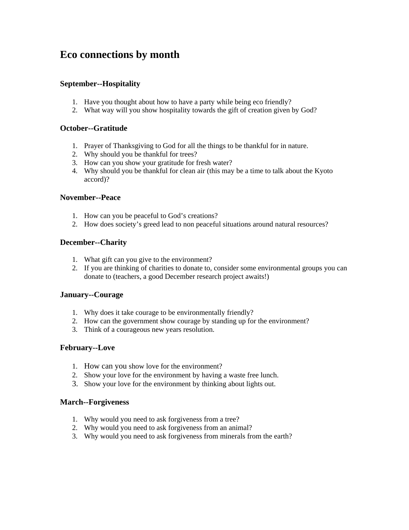# **Eco connections by month**

## **September--Hospitality**

- 1. Have you thought about how to have a party while being eco friendly?
- 2. What way will you show hospitality towards the gift of creation given by God?

## **October--Gratitude**

- 1. Prayer of Thanksgiving to God for all the things to be thankful for in nature.
- 2. Why should you be thankful for trees?
- 3. How can you show your gratitude for fresh water?
- 4. Why should you be thankful for clean air (this may be a time to talk about the Kyoto accord)?

#### **November--Peace**

- 1. How can you be peaceful to God's creations?
- 2. How does society's greed lead to non peaceful situations around natural resources?

## **December--Charity**

- 1. What gift can you give to the environment?
- 2. If you are thinking of charities to donate to, consider some environmental groups you can donate to (teachers, a good December research project awaits!)

#### **January--Courage**

- 1. Why does it take courage to be environmentally friendly?
- 2. How can the government show courage by standing up for the environment?
- 3. Think of a courageous new years resolution.

#### **February--Love**

- 1. How can you show love for the environment?
- 2. Show your love for the environment by having a waste free lunch.
- 3. Show your love for the environment by thinking about lights out.

#### **March--Forgiveness**

- 1. Why would you need to ask forgiveness from a tree?
- 2. Why would you need to ask forgiveness from an animal?
- 3. Why would you need to ask forgiveness from minerals from the earth?